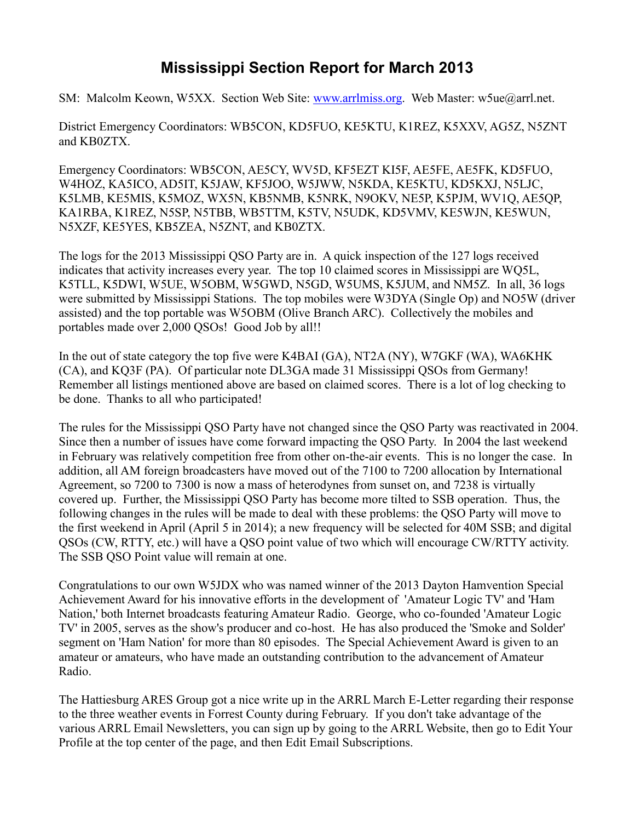## **Mississippi Section Report for March 2013**

SM: Malcolm Keown, W5XX. Section Web Site: [www.arrlmiss.org.](http://www.arrlmiss.org/) Web Master: w5ue@arrl.net.

District Emergency Coordinators: WB5CON, KD5FUO, KE5KTU, K1REZ, K5XXV, AG5Z, N5ZNT and KB0ZTX.

Emergency Coordinators: WB5CON, AE5CY, WV5D, KF5EZT KI5F, AE5FE, AE5FK, KD5FUO, W4HOZ, KA5ICO, AD5IT, K5JAW, KF5JOO, W5JWW, N5KDA, KE5KTU, KD5KXJ, N5LJC, K5LMB, KE5MIS, K5MOZ, WX5N, KB5NMB, K5NRK, N9OKV, NE5P, K5PJM, WV1Q, AE5QP, KA1RBA, K1REZ, N5SP, N5TBB, WB5TTM, K5TV, N5UDK, KD5VMV, KE5WJN, KE5WUN, N5XZF, KE5YES, KB5ZEA, N5ZNT, and KB0ZTX.

The logs for the 2013 Mississippi QSO Party are in. A quick inspection of the 127 logs received indicates that activity increases every year. The top 10 claimed scores in Mississippi are WQ5L, K5TLL, K5DWI, W5UE, W5OBM, W5GWD, N5GD, W5UMS, K5JUM, and NM5Z. In all, 36 logs were submitted by Mississippi Stations. The top mobiles were W3DYA (Single Op) and NO5W (driver assisted) and the top portable was W5OBM (Olive Branch ARC). Collectively the mobiles and portables made over 2,000 QSOs! Good Job by all!!

In the out of state category the top five were K4BAI (GA), NT2A (NY), W7GKF (WA), WA6KHK (CA), and KQ3F (PA). Of particular note DL3GA made 31 Mississippi QSOs from Germany! Remember all listings mentioned above are based on claimed scores. There is a lot of log checking to be done. Thanks to all who participated!

The rules for the Mississippi QSO Party have not changed since the QSO Party was reactivated in 2004. Since then a number of issues have come forward impacting the QSO Party. In 2004 the last weekend in February was relatively competition free from other on-the-air events. This is no longer the case. In addition, all AM foreign broadcasters have moved out of the 7100 to 7200 allocation by International Agreement, so 7200 to 7300 is now a mass of heterodynes from sunset on, and 7238 is virtually covered up. Further, the Mississippi QSO Party has become more tilted to SSB operation. Thus, the following changes in the rules will be made to deal with these problems: the QSO Party will move to the first weekend in April (April 5 in 2014); a new frequency will be selected for 40M SSB; and digital QSOs (CW, RTTY, etc.) will have a QSO point value of two which will encourage CW/RTTY activity. The SSB QSO Point value will remain at one.

Congratulations to our own W5JDX who was named winner of the 2013 Dayton Hamvention Special Achievement Award for his innovative efforts in the development of 'Amateur Logic TV' and 'Ham Nation,' both Internet broadcasts featuring Amateur Radio. George, who co-founded 'Amateur Logic TV' in 2005, serves as the show's producer and co-host. He has also produced the 'Smoke and Solder' segment on 'Ham Nation' for more than 80 episodes. The Special Achievement Award is given to an amateur or amateurs, who have made an outstanding contribution to the advancement of Amateur Radio.

The Hattiesburg ARES Group got a nice write up in the ARRL March E-Letter regarding their response to the three weather events in Forrest County during February. If you don't take advantage of the various ARRL Email Newsletters, you can sign up by going to the ARRL Website, then go to Edit Your Profile at the top center of the page, and then Edit Email Subscriptions.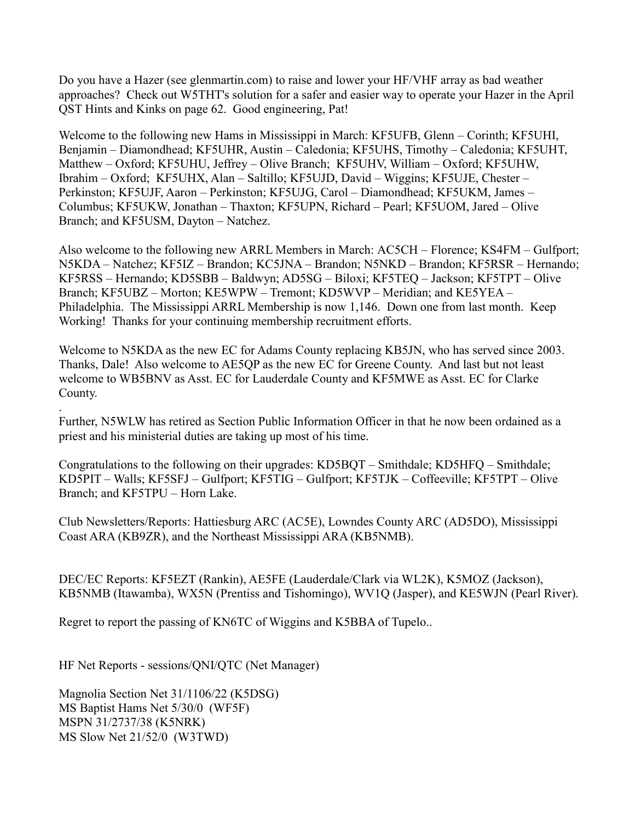Do you have a Hazer (see glenmartin.com) to raise and lower your HF/VHF array as bad weather approaches? Check out W5THT's solution for a safer and easier way to operate your Hazer in the April QST Hints and Kinks on page 62. Good engineering, Pat!

Welcome to the following new Hams in Mississippi in March: KF5UFB, Glenn – Corinth; KF5UHI, Benjamin – Diamondhead; KF5UHR, Austin – Caledonia; KF5UHS, Timothy – Caledonia; KF5UHT, Matthew – Oxford; KF5UHU, Jeffrey – Olive Branch; KF5UHV, William – Oxford; KF5UHW, Ibrahim – Oxford; KF5UHX, Alan – Saltillo; KF5UJD, David – Wiggins; KF5UJE, Chester – Perkinston; KF5UJF, Aaron – Perkinston; KF5UJG, Carol – Diamondhead; KF5UKM, James – Columbus; KF5UKW, Jonathan – Thaxton; KF5UPN, Richard – Pearl; KF5UOM, Jared – Olive Branch; and KF5USM, Dayton – Natchez.

Also welcome to the following new ARRL Members in March: AC5CH – Florence; KS4FM – Gulfport; N5KDA – Natchez; KF5IZ – Brandon; KC5JNA – Brandon; N5NKD – Brandon; KF5RSR – Hernando; KF5RSS – Hernando; KD5SBB – Baldwyn; AD5SG – Biloxi; KF5TEQ – Jackson; KF5TPT – Olive Branch; KF5UBZ – Morton; KE5WPW – Tremont; KD5WVP – Meridian; and KE5YEA – Philadelphia. The Mississippi ARRL Membership is now 1,146. Down one from last month. Keep Working! Thanks for your continuing membership recruitment efforts.

Welcome to N5KDA as the new EC for Adams County replacing KB5JN, who has served since 2003. Thanks, Dale! Also welcome to AE5QP as the new EC for Greene County. And last but not least welcome to WB5BNV as Asst. EC for Lauderdale County and KF5MWE as Asst. EC for Clarke County.

Further, N5WLW has retired as Section Public Information Officer in that he now been ordained as a priest and his ministerial duties are taking up most of his time.

Congratulations to the following on their upgrades: KD5BQT – Smithdale; KD5HFQ – Smithdale; KD5PIT – Walls; KF5SFJ – Gulfport; KF5TIG – Gulfport; KF5TJK – Coffeeville; KF5TPT – Olive Branch; and KF5TPU – Horn Lake.

Club Newsletters/Reports: Hattiesburg ARC (AC5E), Lowndes County ARC (AD5DO), Mississippi Coast ARA (KB9ZR), and the Northeast Mississippi ARA (KB5NMB).

DEC/EC Reports: KF5EZT (Rankin), AE5FE (Lauderdale/Clark via WL2K), K5MOZ (Jackson), KB5NMB (Itawamba), WX5N (Prentiss and Tishomingo), WV1Q (Jasper), and KE5WJN (Pearl River).

Regret to report the passing of KN6TC of Wiggins and K5BBA of Tupelo..

HF Net Reports - sessions/QNI/QTC (Net Manager)

Magnolia Section Net 31/1106/22 (K5DSG) MS Baptist Hams Net 5/30/0 (WF5F) MSPN 31/2737/38 (K5NRK) MS Slow Net 21/52/0 (W3TWD)

.